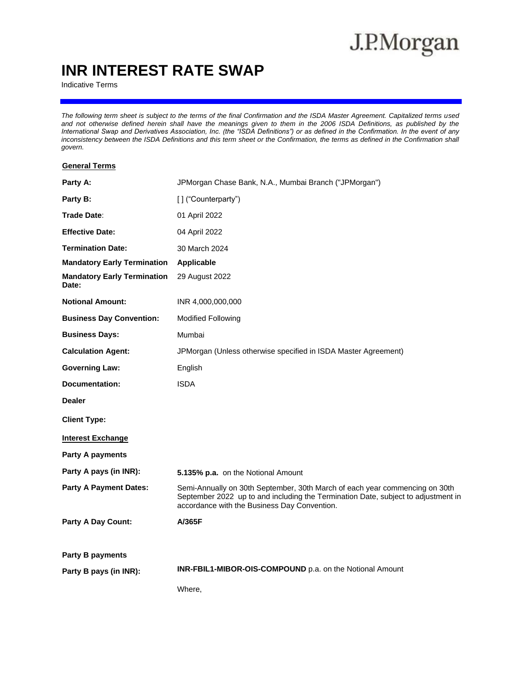# J.P.Morgan

### **INR INTEREST RATE SWAP**

Indicative Terms

*The following term sheet is subject to the terms of the final Confirmation and the ISDA Master Agreement. Capitalized terms used and not otherwise defined herein shall have the meanings given to them in the 2006 ISDA Definitions, as published by the International Swap and Derivatives Association, Inc. (the "ISDA Definitions") or as defined in the Confirmation. In the event of any inconsistency between the ISDA Definitions and this term sheet or the Confirmation, the terms as defined in the Confirmation shall govern.*

#### **General Terms**

| Party A:                                    | JPMorgan Chase Bank, N.A., Mumbai Branch ("JPMorgan")                                                                                                                                                            |
|---------------------------------------------|------------------------------------------------------------------------------------------------------------------------------------------------------------------------------------------------------------------|
| Party B:                                    | [] ("Counterparty")                                                                                                                                                                                              |
| Trade Date:                                 | 01 April 2022                                                                                                                                                                                                    |
| <b>Effective Date:</b>                      | 04 April 2022                                                                                                                                                                                                    |
| <b>Termination Date:</b>                    | 30 March 2024                                                                                                                                                                                                    |
| <b>Mandatory Early Termination</b>          | Applicable                                                                                                                                                                                                       |
| <b>Mandatory Early Termination</b><br>Date: | 29 August 2022                                                                                                                                                                                                   |
| <b>Notional Amount:</b>                     | INR 4,000,000,000                                                                                                                                                                                                |
| <b>Business Day Convention:</b>             | <b>Modified Following</b>                                                                                                                                                                                        |
| <b>Business Days:</b>                       | Mumbai                                                                                                                                                                                                           |
| <b>Calculation Agent:</b>                   | JPMorgan (Unless otherwise specified in ISDA Master Agreement)                                                                                                                                                   |
| <b>Governing Law:</b>                       | English                                                                                                                                                                                                          |
| <b>Documentation:</b>                       | <b>ISDA</b>                                                                                                                                                                                                      |
| <b>Dealer</b>                               |                                                                                                                                                                                                                  |
| <b>Client Type:</b>                         |                                                                                                                                                                                                                  |
| <b>Interest Exchange</b>                    |                                                                                                                                                                                                                  |
| <b>Party A payments</b>                     |                                                                                                                                                                                                                  |
| Party A pays (in INR):                      | 5.135% p.a. on the Notional Amount                                                                                                                                                                               |
| <b>Party A Payment Dates:</b>               | Semi-Annually on 30th September, 30th March of each year commencing on 30th<br>September 2022 up to and including the Termination Date, subject to adjustment in<br>accordance with the Business Day Convention. |
| <b>Party A Day Count:</b>                   | A/365F                                                                                                                                                                                                           |
| <b>Party B payments</b>                     |                                                                                                                                                                                                                  |
| Party B pays (in INR):                      | INR-FBIL1-MIBOR-OIS-COMPOUND p.a. on the Notional Amount                                                                                                                                                         |
|                                             | Where,                                                                                                                                                                                                           |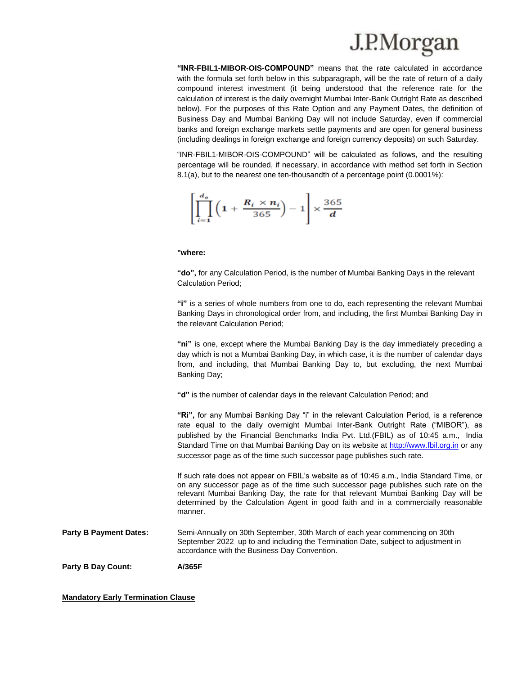## J.P.Morgan

**"INR-FBIL1-MIBOR-OIS-COMPOUND"** means that the rate calculated in accordance with the formula set forth below in this subparagraph, will be the rate of return of a daily compound interest investment (it being understood that the reference rate for the calculation of interest is the daily overnight Mumbai Inter-Bank Outright Rate as described below). For the purposes of this Rate Option and any Payment Dates, the definition of Business Day and Mumbai Banking Day will not include Saturday, even if commercial banks and foreign exchange markets settle payments and are open for general business (including dealings in foreign exchange and foreign currency deposits) on such Saturday.

"INR-FBIL1-MIBOR-OIS-COMPOUND" will be calculated as follows, and the resulting percentage will be rounded, if necessary, in accordance with method set forth in Section 8.1(a), but to the nearest one ten-thousandth of a percentage point (0.0001%):

$$
\left[\prod_{i=1}^{d_o} \left(1 + \frac{R_i \times n_i}{365}\right) - 1\right] \times \frac{365}{d}
$$

#### **"where:**

**"do",** for any Calculation Period, is the number of Mumbai Banking Days in the relevant Calculation Period;

**"i"** is a series of whole numbers from one to do, each representing the relevant Mumbai Banking Days in chronological order from, and including, the first Mumbai Banking Day in the relevant Calculation Period;

**"ni"** is one, except where the Mumbai Banking Day is the day immediately preceding a day which is not a Mumbai Banking Day, in which case, it is the number of calendar days from, and including, that Mumbai Banking Day to, but excluding, the next Mumbai Banking Day;

**"d"** is the number of calendar days in the relevant Calculation Period; and

**"Ri",** for any Mumbai Banking Day "i" in the relevant Calculation Period, is a reference rate equal to the daily overnight Mumbai Inter-Bank Outright Rate ("MIBOR"), as published by the Financial Benchmarks India Pvt. Ltd.(FBIL) as of 10:45 a.m., India Standard Time on that Mumbai Banking Day on its website at [http://www.fbil.org.in](http://www.fbil.org.in/) or any successor page as of the time such successor page publishes such rate.

If such rate does not appear on FBIL's website as of 10:45 a.m., India Standard Time, or on any successor page as of the time such successor page publishes such rate on the relevant Mumbai Banking Day, the rate for that relevant Mumbai Banking Day will be determined by the Calculation Agent in good faith and in a commercially reasonable manner.

**Party B Payment Dates:** Semi-Annually on 30th September, 30th March of each year commencing on 30th September 2022 up to and including the Termination Date, subject to adjustment in accordance with the Business Day Convention.

**Party B Day Count: A/365F**

**Mandatory Early Termination Clause**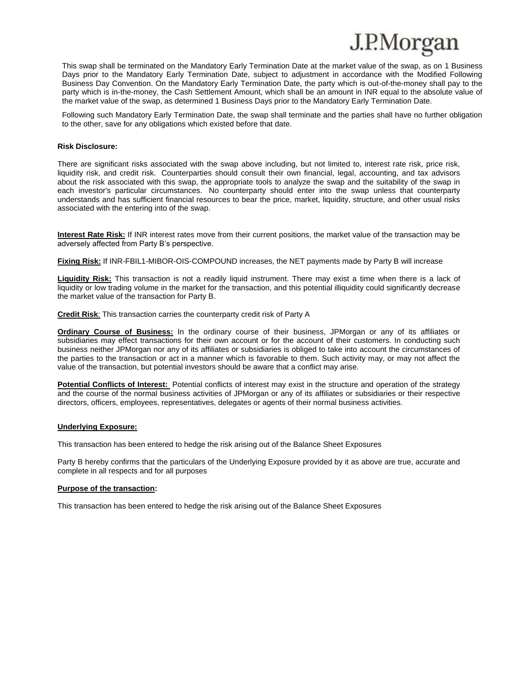

This swap shall be terminated on the Mandatory Early Termination Date at the market value of the swap, as on 1 Business Days prior to the Mandatory Early Termination Date, subject to adjustment in accordance with the Modified Following Business Day Convention. On the Mandatory Early Termination Date, the party which is out-of-the-money shall pay to the party which is in-the-money, the Cash Settlement Amount, which shall be an amount in INR equal to the absolute value of the market value of the swap, as determined 1 Business Days prior to the Mandatory Early Termination Date.

Following such Mandatory Early Termination Date, the swap shall terminate and the parties shall have no further obligation to the other, save for any obligations which existed before that date.

#### **Risk Disclosure:**

There are significant risks associated with the swap above including, but not limited to, interest rate risk, price risk, liquidity risk, and credit risk. Counterparties should consult their own financial, legal, accounting, and tax advisors about the risk associated with this swap, the appropriate tools to analyze the swap and the suitability of the swap in each investor's particular circumstances. No counterparty should enter into the swap unless that counterparty understands and has sufficient financial resources to bear the price, market, liquidity, structure, and other usual risks associated with the entering into of the swap.

**Interest Rate Risk:** If INR interest rates move from their current positions, the market value of the transaction may be adversely affected from Party B's perspective.

**Fixing Risk:** If INR-FBIL1-MIBOR-OIS-COMPOUND increases, the NET payments made by Party B will increase

**Liquidity Risk:** This transaction is not a readily liquid instrument. There may exist a time when there is a lack of liquidity or low trading volume in the market for the transaction, and this potential illiquidity could significantly decrease the market value of the transaction for Party B.

**Credit Risk**: This transaction carries the counterparty credit risk of Party A

**Ordinary Course of Business:** In the ordinary course of their business, JPMorgan or any of its affiliates or subsidiaries may effect transactions for their own account or for the account of their customers. In conducting such business neither JPMorgan nor any of its affiliates or subsidiaries is obliged to take into account the circumstances of the parties to the transaction or act in a manner which is favorable to them. Such activity may, or may not affect the value of the transaction, but potential investors should be aware that a conflict may arise.

**Potential Conflicts of Interest:** Potential conflicts of interest may exist in the structure and operation of the strategy and the course of the normal business activities of JPMorgan or any of its affiliates or subsidiaries or their respective directors, officers, employees, representatives, delegates or agents of their normal business activities.

#### **Underlying Exposure:**

This transaction has been entered to hedge the risk arising out of the Balance Sheet Exposures

Party B hereby confirms that the particulars of the Underlying Exposure provided by it as above are true, accurate and complete in all respects and for all purposes

#### **Purpose of the transaction:**

This transaction has been entered to hedge the risk arising out of the Balance Sheet Exposures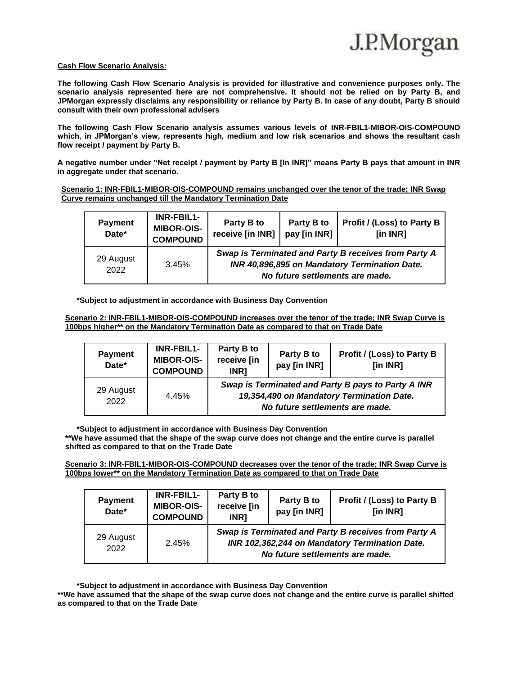

#### **Cash Flow Scenario Analysis:**

**The following Cash Flow Scenario Analysis is provided for illustrative and convenience purposes only. The scenario analysis represented here are not comprehensive. It should not be relied on by Party B, and JPMorgan expressly disclaims any responsibility or reliance by Party B. In case of any doubt, Party B should consult with their own professional advisers**

**The following Cash Flow Scenario analysis assumes various levels of INR-FBIL1-MIBOR-OIS-COMPOUND which, in JPMorgan's view, represents high, medium and low risk scenarios and shows the resultant cash flow receipt / payment by Party B.**

**A negative number under "Net receipt / payment by Party B [in INR]" means Party B pays that amount in INR in aggregate under that scenario.** 

**Scenario 1: INR-FBIL1-MIBOR-OIS-COMPOUND remains unchanged over the tenor of the trade; INR Swap Curve remains unchanged till the Mandatory Termination Date**

| <b>Payment</b><br>Date* | INR-FBIL1-<br><b>MIBOR-OIS-</b><br><b>COMPOUND</b> | Party B to<br>receive [in INR] | Party B to<br>pay [in INR]      | Profit / (Loss) to Party B<br>[in INR]                                                                |
|-------------------------|----------------------------------------------------|--------------------------------|---------------------------------|-------------------------------------------------------------------------------------------------------|
| 29 August<br>2022       | 3.45%                                              |                                | No future settlements are made. | Swap is Terminated and Party B receives from Party A<br>INR 40,896,895 on Mandatory Termination Date. |

**\*Subject to adjustment in accordance with Business Day Convention**

**Scenario 2: INR-FBIL1-MIBOR-OIS-COMPOUND increases over the tenor of the trade; INR Swap Curve is 100bps higher\*\* on the Mandatory Termination Date as compared to that on Trade Date**

| <b>Payment</b><br>Date* | <b>INR-FBIL1-</b><br><b>MIBOR-OIS-</b><br><b>COMPOUND</b> | Party B to<br>receive [in<br>INR1 | Party B to<br>pay [in INR]      | Profit / (Loss) to Party B<br>[in INR]                                                          |
|-------------------------|-----------------------------------------------------------|-----------------------------------|---------------------------------|-------------------------------------------------------------------------------------------------|
| 29 August<br>2022       | 4.45%                                                     |                                   | No future settlements are made. | Swap is Terminated and Party B pays to Party A INR<br>19,354,490 on Mandatory Termination Date. |

**\*Subject to adjustment in accordance with Business Day Convention**

**\*\*We have assumed that the shape of the swap curve does not change and the entire curve is parallel shifted as compared to that on the Trade Date**

**Scenario 3: INR-FBIL1-MIBOR-OIS-COMPOUND decreases over the tenor of the trade; INR Swap Curve is 100bps lower\*\* on the Mandatory Termination Date as compared to that on Trade Date**

| <b>Payment</b><br>Date* | <b>INR-FBIL1-</b><br><b>MIBOR-OIS-</b><br><b>COMPOUND</b> | Party B to<br>receive [in<br><b>INR1</b> | Party B to<br>pay [in INR]      | Profit / (Loss) to Party B<br>[in INR]                                                                 |
|-------------------------|-----------------------------------------------------------|------------------------------------------|---------------------------------|--------------------------------------------------------------------------------------------------------|
| 29 August<br>2022       | 2.45%                                                     |                                          | No future settlements are made. | Swap is Terminated and Party B receives from Party A<br>INR 102,362,244 on Mandatory Termination Date. |

**\*Subject to adjustment in accordance with Business Day Convention**

**\*\*We have assumed that the shape of the swap curve does not change and the entire curve is parallel shifted as compared to that on the Trade Date**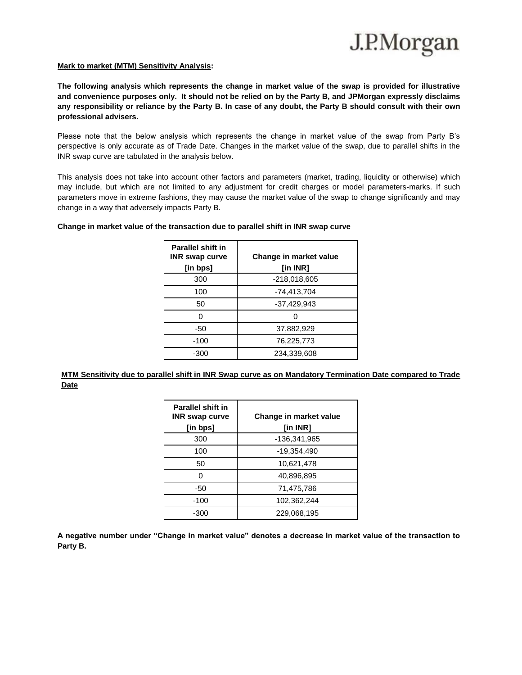

#### **Mark to market (MTM) Sensitivity Analysis:**

**The following analysis which represents the change in market value of the swap is provided for illustrative and convenience purposes only. It should not be relied on by the Party B, and JPMorgan expressly disclaims any responsibility or reliance by the Party B. In case of any doubt, the Party B should consult with their own professional advisers.**

Please note that the below analysis which represents the change in market value of the swap from Party B's perspective is only accurate as of Trade Date. Changes in the market value of the swap, due to parallel shifts in the INR swap curve are tabulated in the analysis below.

This analysis does not take into account other factors and parameters (market, trading, liquidity or otherwise) which may include, but which are not limited to any adjustment for credit charges or model parameters-marks. If such parameters move in extreme fashions, they may cause the market value of the swap to change significantly and may change in a way that adversely impacts Party B.

| <b>Parallel shift in</b><br><b>INR</b> swap curve<br>[in bps] | Change in market value<br>[in INR] |  |  |
|---------------------------------------------------------------|------------------------------------|--|--|
| 300                                                           | $-218,018,605$                     |  |  |
| 100                                                           | $-74,413,704$                      |  |  |
| 50                                                            | $-37,429,943$                      |  |  |
| 0                                                             |                                    |  |  |
| -50                                                           | 37,882,929                         |  |  |
| $-100$                                                        | 76,225,773                         |  |  |
| -300                                                          | 234.339.608                        |  |  |

#### **Change in market value of the transaction due to parallel shift in INR swap curve**

**MTM Sensitivity due to parallel shift in INR Swap curve as on Mandatory Termination Date compared to Trade Date**

| <b>Parallel shift in</b><br><b>INR</b> swap curve | Change in market value |
|---------------------------------------------------|------------------------|
| [in bps]                                          | [in INR]               |
| 300                                               | -136,341,965           |
| 100                                               | -19,354,490            |
| 50                                                | 10,621,478             |
| O                                                 | 40,896,895             |
| -50                                               | 71,475,786             |
| $-100$                                            | 102,362,244            |
| $-300$                                            | 229.068.195            |

**A negative number under "Change in market value" denotes a decrease in market value of the transaction to Party B.**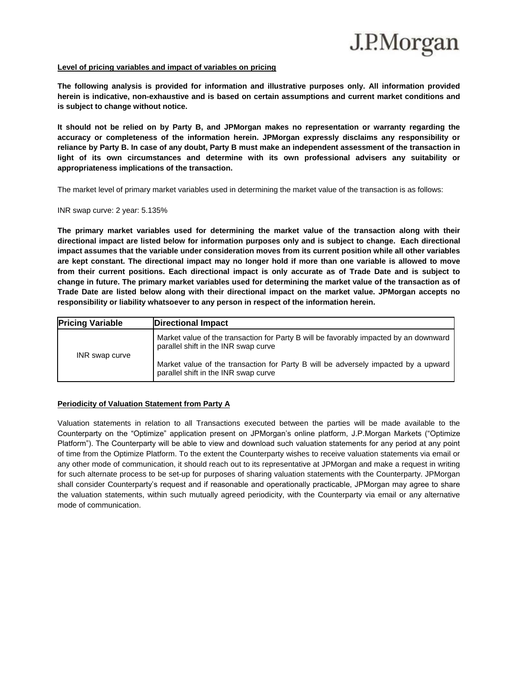

#### **Level of pricing variables and impact of variables on pricing**

**The following analysis is provided for information and illustrative purposes only. All information provided herein is indicative, non-exhaustive and is based on certain assumptions and current market conditions and is subject to change without notice.** 

**It should not be relied on by Party B, and JPMorgan makes no representation or warranty regarding the accuracy or completeness of the information herein. JPMorgan expressly disclaims any responsibility or reliance by Party B. In case of any doubt, Party B must make an independent assessment of the transaction in light of its own circumstances and determine with its own professional advisers any suitability or appropriateness implications of the transaction.**

The market level of primary market variables used in determining the market value of the transaction is as follows:

INR swap curve: 2 year: 5.135%

**The primary market variables used for determining the market value of the transaction along with their directional impact are listed below for information purposes only and is subject to change. Each directional impact assumes that the variable under consideration moves from its current position while all other variables are kept constant. The directional impact may no longer hold if more than one variable is allowed to move from their current positions. Each directional impact is only accurate as of Trade Date and is subject to change in future. The primary market variables used for determining the market value of the transaction as of Trade Date are listed below along with their directional impact on the market value. JPMorgan accepts no responsibility or liability whatsoever to any person in respect of the information herein.** 

| <b>Pricing Variable</b> | <b>Directional Impact</b>                                                                                                     |
|-------------------------|-------------------------------------------------------------------------------------------------------------------------------|
| INR swap curve          | Market value of the transaction for Party B will be favorably impacted by an downward<br>parallel shift in the INR swap curve |
|                         | Market value of the transaction for Party B will be adversely impacted by a upward<br>parallel shift in the INR swap curve    |

#### **Periodicity of Valuation Statement from Party A**

Valuation statements in relation to all Transactions executed between the parties will be made available to the Counterparty on the "Optimize" application present on JPMorgan's online platform, J.P.Morgan Markets ("Optimize Platform"). The Counterparty will be able to view and download such valuation statements for any period at any point of time from the Optimize Platform. To the extent the Counterparty wishes to receive valuation statements via email or any other mode of communication, it should reach out to its representative at JPMorgan and make a request in writing for such alternate process to be set-up for purposes of sharing valuation statements with the Counterparty. JPMorgan shall consider Counterparty's request and if reasonable and operationally practicable, JPMorgan may agree to share the valuation statements, within such mutually agreed periodicity, with the Counterparty via email or any alternative mode of communication.